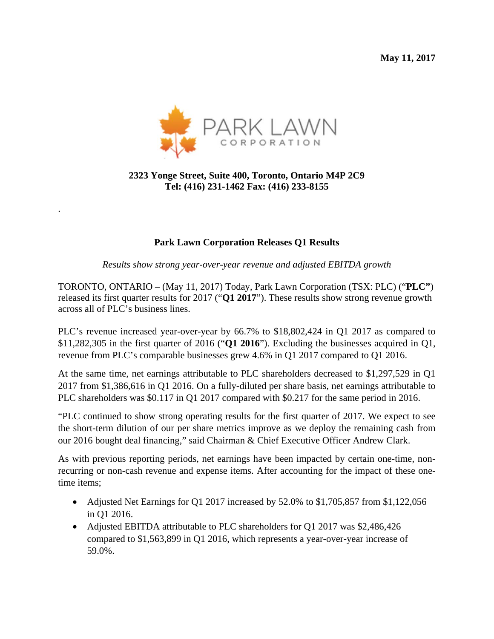**May 11, 2017**



## **2323 Yonge Street, Suite 400, Toronto, Ontario M4P 2C9 Tel: (416) 231-1462 Fax: (416) 233-8155**

.

#### **Park Lawn Corporation Releases Q1 Results**

*Results show strong year-over-year revenue and adjusted EBITDA growth* 

TORONTO, ONTARIO – (May 11, 2017) Today, Park Lawn Corporation (TSX: PLC) ("**PLC"**) released its first quarter results for 2017 ("**Q1 2017**"). These results show strong revenue growth across all of PLC's business lines.

PLC's revenue increased year-over-year by 66.7% to \$18,802,424 in Q1 2017 as compared to \$11,282,305 in the first quarter of 2016 ("**Q1 2016**"). Excluding the businesses acquired in Q1, revenue from PLC's comparable businesses grew 4.6% in Q1 2017 compared to Q1 2016.

At the same time, net earnings attributable to PLC shareholders decreased to \$1,297,529 in Q1 2017 from \$1,386,616 in Q1 2016. On a fully-diluted per share basis, net earnings attributable to PLC shareholders was \$0.117 in Q1 2017 compared with \$0.217 for the same period in 2016.

"PLC continued to show strong operating results for the first quarter of 2017. We expect to see the short-term dilution of our per share metrics improve as we deploy the remaining cash from our 2016 bought deal financing," said Chairman & Chief Executive Officer Andrew Clark.

As with previous reporting periods, net earnings have been impacted by certain one-time, nonrecurring or non-cash revenue and expense items. After accounting for the impact of these onetime items;

- Adjusted Net Earnings for Q1 2017 increased by 52.0% to \$1,705,857 from \$1,122,056 in Q1 2016.
- Adjusted EBITDA attributable to PLC shareholders for Q1 2017 was \$2,486,426 compared to \$1,563,899 in Q1 2016, which represents a year-over-year increase of 59.0%.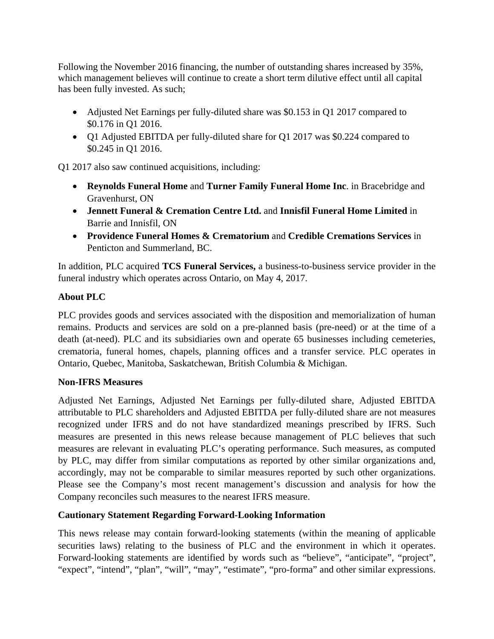Following the November 2016 financing, the number of outstanding shares increased by 35%, which management believes will continue to create a short term dilutive effect until all capital has been fully invested. As such;

- Adjusted Net Earnings per fully-diluted share was \$0.153 in Q1 2017 compared to \$0.176 in Q1 2016.
- Q1 Adjusted EBITDA per fully-diluted share for Q1 2017 was \$0.224 compared to \$0.245 in Q1 2016.

Q1 2017 also saw continued acquisitions, including:

- **Reynolds Funeral Home** and **Turner Family Funeral Home Inc**. in Bracebridge and Gravenhurst, ON
- **Jennett Funeral & Cremation Centre Ltd.** and **Innisfil Funeral Home Limited** in Barrie and Innisfil, ON
- **Providence Funeral Homes & Crematorium** and **Credible Cremations Services** in Penticton and Summerland, BC.

In addition, PLC acquired **TCS Funeral Services,** a business-to-business service provider in the funeral industry which operates across Ontario, on May 4, 2017.

# **About PLC**

PLC provides goods and services associated with the disposition and memorialization of human remains. Products and services are sold on a pre-planned basis (pre-need) or at the time of a death (at-need). PLC and its subsidiaries own and operate 65 businesses including cemeteries, crematoria, funeral homes, chapels, planning offices and a transfer service. PLC operates in Ontario, Quebec, Manitoba, Saskatchewan, British Columbia & Michigan.

### **Non**‐**IFRS Measures**

Adjusted Net Earnings, Adjusted Net Earnings per fully-diluted share, Adjusted EBITDA attributable to PLC shareholders and Adjusted EBITDA per fully-diluted share are not measures recognized under IFRS and do not have standardized meanings prescribed by IFRS. Such measures are presented in this news release because management of PLC believes that such measures are relevant in evaluating PLC's operating performance. Such measures, as computed by PLC, may differ from similar computations as reported by other similar organizations and, accordingly, may not be comparable to similar measures reported by such other organizations. Please see the Company's most recent management's discussion and analysis for how the Company reconciles such measures to the nearest IFRS measure.

### **Cautionary Statement Regarding Forward-Looking Information**

This news release may contain forward-looking statements (within the meaning of applicable securities laws) relating to the business of PLC and the environment in which it operates. Forward-looking statements are identified by words such as "believe", "anticipate", "project", "expect", "intend", "plan", "will", "may", "estimate", "pro-forma" and other similar expressions.